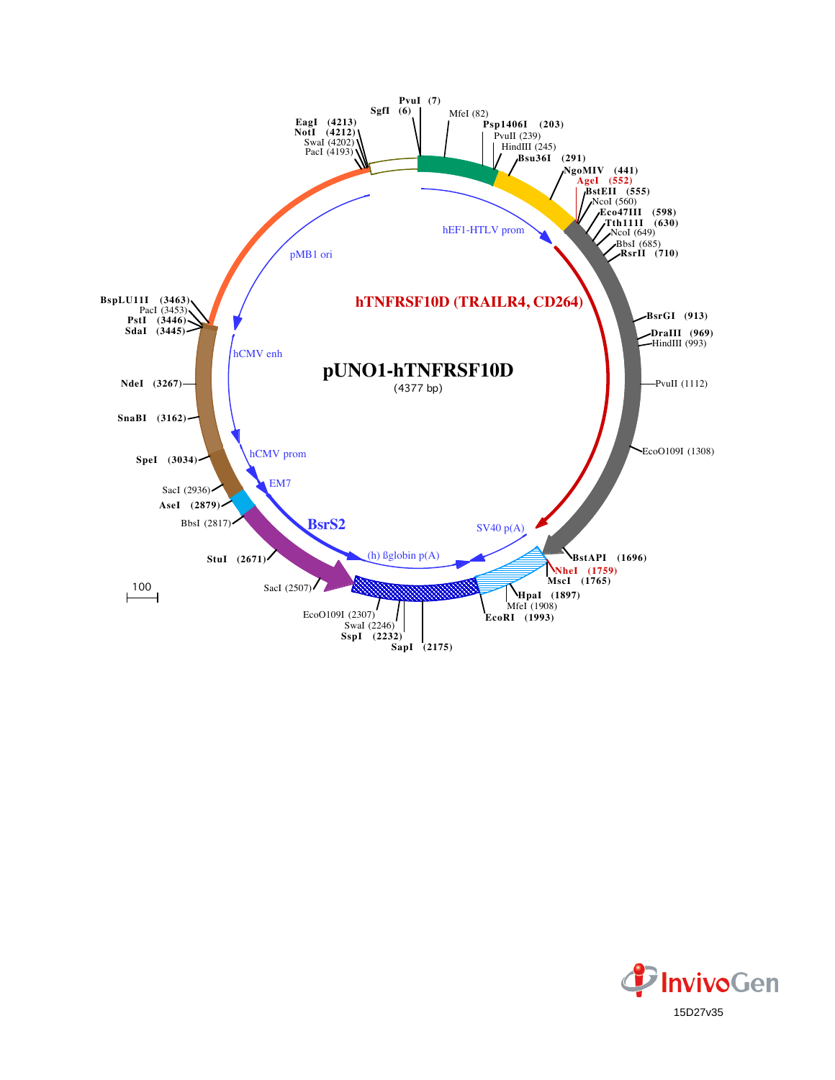

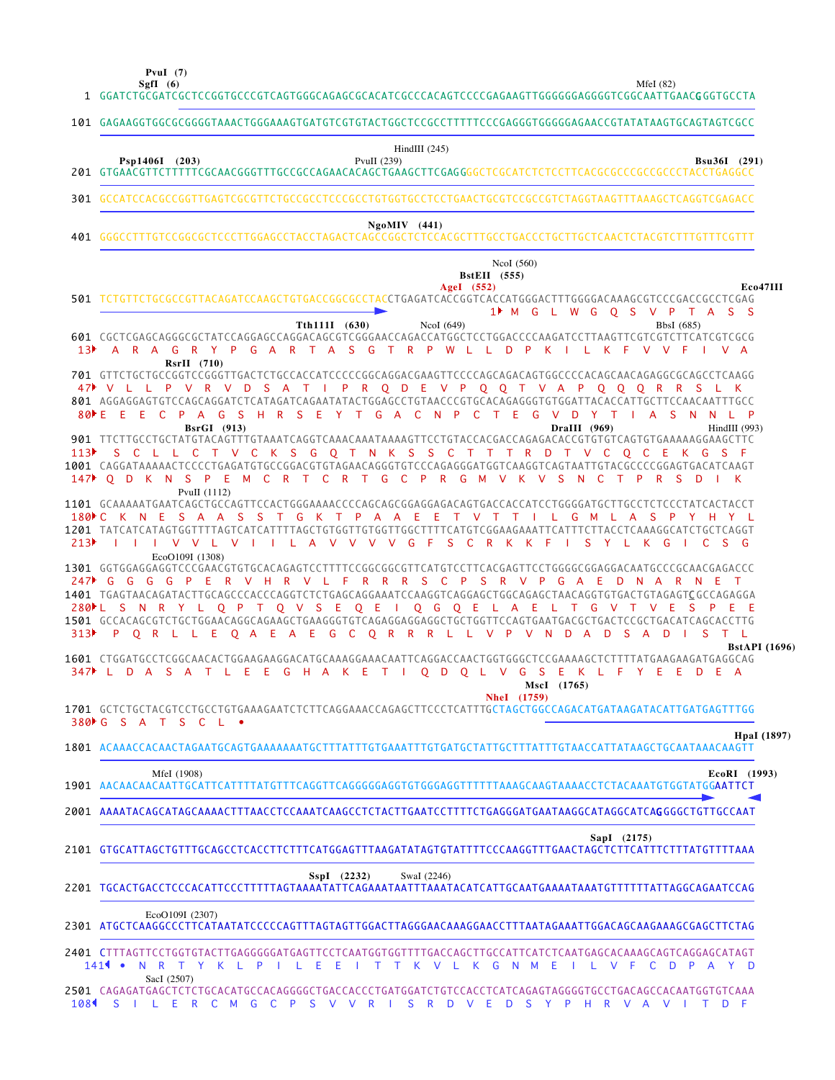**SgfI (6) PvuI (7)**

MfeI (82)

|     | 101 GAGAAGGTGGCGCGGGGTAAACTGGGAAAGTGATGTCGTGTACTGGCTCCGCCTTTTTCCCGAGGGTGGGGGAACCGTATATAAGTGCAGTAGTCGCC                                                                                                                                                                                                                                                                                                                                                                                                                                                                                                                                                                                                                                                                                                                                                                        |                                                     |                 |     |               |                                |              |                                   |             |             |              |             |              |                                          |
|-----|-------------------------------------------------------------------------------------------------------------------------------------------------------------------------------------------------------------------------------------------------------------------------------------------------------------------------------------------------------------------------------------------------------------------------------------------------------------------------------------------------------------------------------------------------------------------------------------------------------------------------------------------------------------------------------------------------------------------------------------------------------------------------------------------------------------------------------------------------------------------------------|-----------------------------------------------------|-----------------|-----|---------------|--------------------------------|--------------|-----------------------------------|-------------|-------------|--------------|-------------|--------------|------------------------------------------|
|     | Psp1406I (203)                                                                                                                                                                                                                                                                                                                                                                                                                                                                                                                                                                                                                                                                                                                                                                                                                                                                |                                                     |                 |     |               | HindIII $(245)$<br>PvuII (239) |              |                                   |             |             |              |             |              | <b>Bsu36I</b> (291)                      |
|     | 301 GCCATCCACGCCGGTTGAGTCGCGTTCTGCCGCCTCCCGCCTGTGGTGCCTCCTGAACTGCGTCCGCCGTCTAGGTAAGTTTAAAGCTCAGGTCGAGACC                                                                                                                                                                                                                                                                                                                                                                                                                                                                                                                                                                                                                                                                                                                                                                      |                                                     |                 |     |               |                                |              |                                   |             |             |              |             |              |                                          |
|     |                                                                                                                                                                                                                                                                                                                                                                                                                                                                                                                                                                                                                                                                                                                                                                                                                                                                               |                                                     |                 |     |               | $NgoMIV$ (441)                 |              |                                   |             |             |              |             |              |                                          |
|     |                                                                                                                                                                                                                                                                                                                                                                                                                                                                                                                                                                                                                                                                                                                                                                                                                                                                               |                                                     |                 |     |               |                                |              | <b>BstEII</b> (555)<br>AgeI (552) | NcoI (560)  |             |              |             |              | Eco47III                                 |
|     | 501 TCTGTTCTGCGCCGTTACAGATCCAAGCTGTGACCGGCGCCTACCTGAGATCACCGGTCACCATGGGACTTTGGGGACAAAGCGTCCCGACCGCCTCGAG<br>601 CGCTCGAGCAGGGCGCTATCCAGGAGCCAGGACAGCGTCGGGAACCAGACCATGGCTCCTGGACCCCAAGATCCTTAAGTTCGTCGTCTTCATCGTCGCG<br>13 A R A G R Y P G A R T A S G T R P W L L D P K I L K F V V F I V A                                                                                                                                                                                                                                                                                                                                                                                                                                                                                                                                                                                  |                                                     |                 |     | Tth111I (630) |                                | NcoI $(649)$ |                                   |             |             |              |             | BbsI (685)   | 1 <sup>t</sup> M G L W G O S V P T A S S |
|     | 701 GTTCTGCTGCCGGTCCGGGTTGACTCTGCCACCATCCCCCGGCAGGACGAAGTTCCCCAGCAGACAGTGGCCCCACAGCAACAGAGGCGCAGCCTCAAGG<br>47 V L L P V R V D S A T I P R Q D E V P Q Q T V A P Q Q Q R R S L K<br>801 AGGAGGAGTGTCCAGCAGGATCTCATAGATCAGAATATACTGGAGCCTGTAACCCGTGCACAGAGGGTGTGGATTACACCATTGCTTCCAACAATTTGCC<br>80 E E E C P A G S H R S E Y T G A C N P C T E G V D Y T I A S N N L P<br>113) SCLLCTVCKSGOTNKSSCTTTRDTVCOCEKGSF<br>1001 CAGGATAAAAAACTCCCCTGAGATGTGCCGGACGTGTAGAACAGGGTGTCCCAGAGGGATGGTCAAGGTCAGTAATTGTACGCCCCGGAGTGACATCAAGT<br>147 OD K N S P E M C R T C R T G C P R G M V K V S N C T P                                                                                                                                                                                                                                                                                  | $RsrII$ (710)<br><b>BsrGI</b> (913)<br>PvuII (1112) |                 |     |               |                                |              |                                   |             |             | DraIII (969) | <b>R</b>    | -S<br>D      | HindIII (993)                            |
| 213 | 1101 GCAAAAATGAATCAGCTGCCAGTTCCACTGGGAAAACCCCAGCAGCGGAGGAGACAGTGACCACCATCCTGGGGATGCTTGCCTCTCCCTATCACTACCT<br>180NC K N E S A A S S T G K T P A A E E T V T T I L G M L A S P Y H Y L<br>1201 TATCATCATAGTGGTTTTAGTCATCATTTTAGCTGTGGTTGTGGTTGGCTTTTCATGTCGGAAGAAATTCATTTCTTACCTCAAAGGCATCTGCTCAGGT<br>IIIVVLVIILAVVVVGFSCRKKFI<br>1301 GGTGGAGGAGGTCCCGAACGTGTGCACAGAGTCCTTTTCCGGCGGCGTTCATGTCCTTCACGAGTTCCTGGGGCGGAGGACAATGCCCGCAACGAGACCC<br>247 G G G G P E R V H R V L F R R R S C P S R V P G A E D N A R N E T<br>1401 TGAGTAACAGATACTTGCAGCCCACCCAGGTCTCTGAGCAGGAAATCCAAGGTCAGGAGCTGGCAGAGCTAACAGGTGTGACTGTAGAGTCGCCAGAGGA<br>280 L S N R Y L Q P T Q V S E Q E I Q G Q E L A E L T G V T V E S P<br>1501 GCCACAGCGTCTGCTGGAACAGGCAGAAGCTGAAGGGTGTCAGAGGAGGAGGCTGCTGGTTCCAGTGAATGACGCTGACTCCGCTGACATCAGCACCTTG<br>313 P Q R L L E Q A E A E G C Q R R R L L V P V N D A | EcoO109I (1308)                                     |                 |     |               |                                |              |                                   |             |             | D            | S Y L K G   |              | $C$ S G<br>S A D I S T L                 |
|     | 1601 CTGGATGCCTCGGCAACACTGGAAGAAGGACATGCAAAGGAAACAATTCAGGACCAACTGGTGGGCTCCGAAAAGCTCTTTTATGAAGAAGATGAGGCAG<br>347 L D A S A T L E E G H A K E T I O D O L V G S E K L F Y E E D E A<br>1701 GCTCTGCTACGTCCTGCCTGTGAAAGAATCTCTTCAGGAAACCAGAGCTTCCCTCATTTGCTAGCTGGCCAGACATGATAAGATACATTGATGAGTTTGG                                                                                                                                                                                                                                                                                                                                                                                                                                                                                                                                                                               |                                                     |                 |     |               |                                |              |                                   | NheI (1759) | MscI (1765) |              |             |              | <b>BstAPI</b> (1696)                     |
|     | 380 C S A T S C L                                                                                                                                                                                                                                                                                                                                                                                                                                                                                                                                                                                                                                                                                                                                                                                                                                                             |                                                     |                 |     |               |                                |              |                                   |             |             |              |             |              | HpaI (1897)                              |
|     | 1801 ACAAACCACAACTAGAATGCAGTGAAAAAAATGCTTTATTTGTGAAATTTGTGATGCTATTGCTTTATTTGTAACCATTATAAGCTGCAATAAACAAGTT                                                                                                                                                                                                                                                                                                                                                                                                                                                                                                                                                                                                                                                                                                                                                                     |                                                     |                 |     |               |                                |              |                                   |             |             |              |             |              |                                          |
|     | 1901 AACAACAACAATTGCATTCATTTTATGTTTCAGGTTCAGGGGGAGGTGTGGGAGGTTTTTTTAAAGCAAGTAAAACCTCTACAAATGTGGTATGG <b>AATTCT</b>                                                                                                                                                                                                                                                                                                                                                                                                                                                                                                                                                                                                                                                                                                                                                            | MfeI (1908)                                         |                 |     |               |                                |              |                                   |             |             |              |             |              | EcoRI (1993)                             |
|     | 2001 AAAATACAGCATAGCAAAACTTTAACCTCCAAATCAAGCCTCTACTTGAATCCTTTTCTGAGGGATGAATAAGGCATAGGCATCAGGGGCTGTTGCCAAT                                                                                                                                                                                                                                                                                                                                                                                                                                                                                                                                                                                                                                                                                                                                                                     |                                                     |                 |     |               |                                |              |                                   |             |             |              |             |              |                                          |
|     | 2101 GTGCATTAGCTGTTTGCAGCCTCACCTTCTTTCATGGAGTTTAAGATATAGTGTATTTTCCCAAGGTTTGAACTAGCTCTTCATTTCTTTATGTTTTAAA                                                                                                                                                                                                                                                                                                                                                                                                                                                                                                                                                                                                                                                                                                                                                                     |                                                     |                 |     |               |                                |              |                                   |             |             |              | SapI (2175) |              |                                          |
|     |                                                                                                                                                                                                                                                                                                                                                                                                                                                                                                                                                                                                                                                                                                                                                                                                                                                                               |                                                     |                 |     | SspI (2232)   |                                | SwaI (2246)  |                                   |             |             |              |             |              |                                          |
|     | 2301 ATGCTCAAGGCCCTTCATAATATCCCCCAGTTTAGTAGTTGGACTTAGGGAACAAAGGAACCTTTAATAGAAATTGGACAGCAAGAAAGCGAGCTTCTAG                                                                                                                                                                                                                                                                                                                                                                                                                                                                                                                                                                                                                                                                                                                                                                     | EcoO109I (2307)                                     |                 |     |               |                                |              |                                   |             |             |              |             |              |                                          |
|     | 2401 CTTTAGTTCCTGGTGTACTTGAGGGGGATGAGTTCCTCAATGGTGGTTTTGACCAGCTTGCCATTCATCTCAATGAGCACAAAGCAGTCAGGAGCATAGT<br>$141$ $\bullet$                                                                                                                                                                                                                                                                                                                                                                                                                                                                                                                                                                                                                                                                                                                                                  |                                                     | N R T Y K L P I | LEE |               | I T T K V L K G N M E          |              |                                   |             | - 1         | L.           | V F<br>C D  | $\mathsf{P}$ | AY D                                     |
|     | SacI (2507)<br>2501 CAGAGATGAGCTCTCTGCACATGCCACAGGGGCTGACCACCCTGATGGATCTGTCCACCTCATCAGAGTAGGGGTGCCTGACACAGCCACAATGGTGTCAAA<br>108 SILERCM GCPS V V R I S R D V E D S Y P H R V A V I T D F                                                                                                                                                                                                                                                                                                                                                                                                                                                                                                                                                                                                                                                                                    |                                                     |                 |     |               |                                |              |                                   |             |             |              |             |              |                                          |